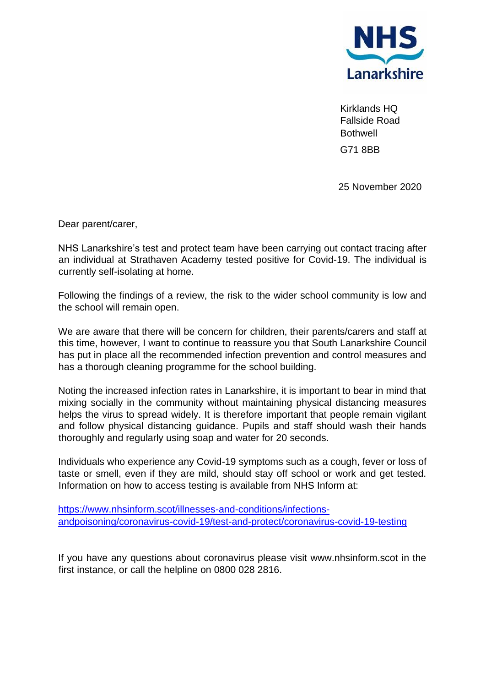

Kirklands HQ Fallside Road **Bothwell** G71 8BB

25 November 2020

Dear parent/carer,

NHS Lanarkshire's test and protect team have been carrying out contact tracing after an individual at Strathaven Academy tested positive for Covid-19. The individual is currently self-isolating at home.

Following the findings of a review, the risk to the wider school community is low and the school will remain open.

We are aware that there will be concern for children, their parents/carers and staff at this time, however, I want to continue to reassure you that South Lanarkshire Council has put in place all the recommended infection prevention and control measures and has a thorough cleaning programme for the school building.

Noting the increased infection rates in Lanarkshire, it is important to bear in mind that mixing socially in the community without maintaining physical distancing measures helps the virus to spread widely. It is therefore important that people remain vigilant and follow physical distancing guidance. Pupils and staff should wash their hands thoroughly and regularly using soap and water for 20 seconds.

Individuals who experience any Covid-19 symptoms such as a cough, fever or loss of taste or smell, even if they are mild, should stay off school or work and get tested. Information on how to access testing is available from NHS Inform at:

[https://www.nhsinform.scot/illnesses-and-conditions/infections](https://www.nhsinform.scot/illnesses-and-conditions/infections-andpoisoning/coronavirus-covid-19/test-and-protect/coronavirus-covid-19-testing)[andpoisoning/coronavirus-covid-19/test-and-protect/coronavirus-covid-19-testing](https://www.nhsinform.scot/illnesses-and-conditions/infections-andpoisoning/coronavirus-covid-19/test-and-protect/coronavirus-covid-19-testing)

If you have any questions about coronavirus please visit www.nhsinform.scot in the first instance, or call the helpline on 0800 028 2816.